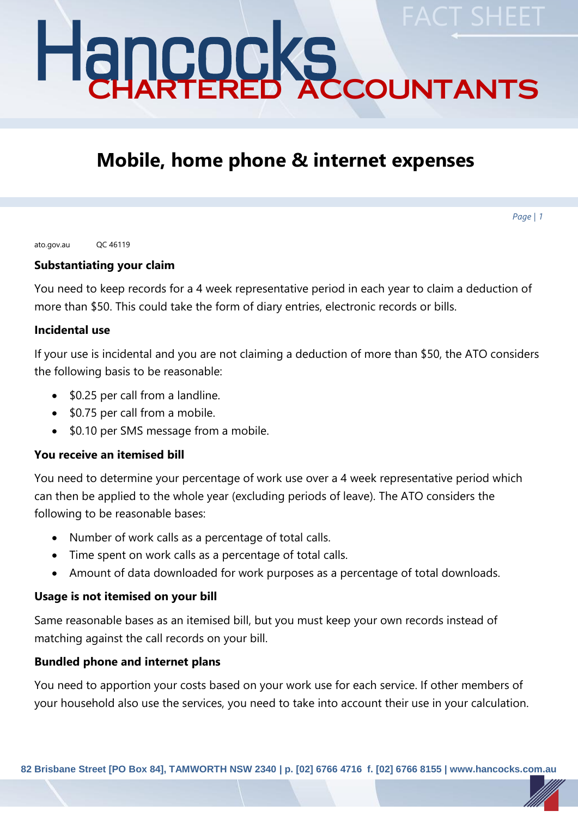# Hancocks CHARTERED ACCOUNTANTS **FACT SHEET**

# **Mobile, home phone & internet expenses**

*Page | 1*

ato.gov.au QC 46119

#### **Substantiating your claim**

You need to keep records for a 4 week representative period in each year to claim a deduction of more than \$50. This could take the form of diary entries, electronic records or bills.

#### **Incidental use**

If your use is incidental and you are not claiming a deduction of more than \$50, the ATO considers the following basis to be reasonable:

- \$0.25 per call from a landline.
- \$0.75 per call from a mobile.
- \$0.10 per SMS message from a mobile.

## **You receive an itemised bill**

You need to determine your percentage of work use over a 4 week representative period which can then be applied to the whole year (excluding periods of leave). The ATO considers the following to be reasonable bases:

- Number of work calls as a percentage of total calls.
- Time spent on work calls as a percentage of total calls.
- Amount of data downloaded for work purposes as a percentage of total downloads.

## **Usage is not itemised on your bill**

Same reasonable bases as an itemised bill, but you must keep your own records instead of matching against the call records on your bill.

## **Bundled phone and internet plans**

You need to apportion your costs based on your work use for each service. If other members of your household also use the services, you need to take into account their use in your calculation.